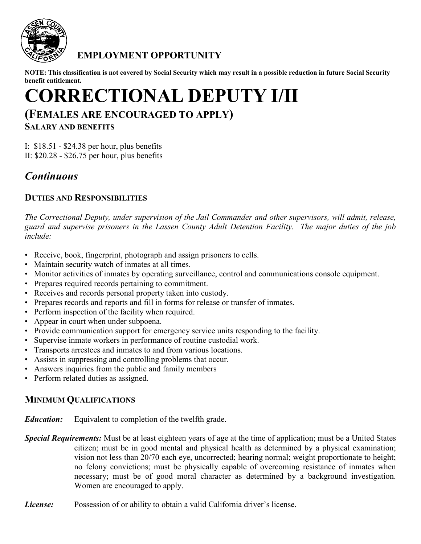

## **EMPLOYMENT OPPORTUNITY**

**NOTE: This classification is not covered by Social Security which may result in a possible reduction in future Social Security benefit entitlement.**

# **CORRECTIONAL DEPUTY I/II**

# **(FEMALES ARE ENCOURAGED TO APPLY)**

**SALARY AND BENEFITS**

I: \$18.51 - \$24.38 per hour, plus benefits II: \$20.28 - \$26.75 per hour, plus benefits

## *Continuous*

### **DUTIES AND RESPONSIBILITIES**

*The Correctional Deputy, under supervision of the Jail Commander and other supervisors, will admit, release, guard and supervise prisoners in the Lassen County Adult Detention Facility. The major duties of the job include:*

- Receive, book, fingerprint, photograph and assign prisoners to cells.
- Maintain security watch of inmates at all times.
- Monitor activities of inmates by operating surveillance, control and communications console equipment.
- Prepares required records pertaining to commitment.
- Receives and records personal property taken into custody.
- Prepares records and reports and fill in forms for release or transfer of inmates.
- Perform inspection of the facility when required.
- Appear in court when under subpoena.
- Provide communication support for emergency service units responding to the facility.
- Supervise inmate workers in performance of routine custodial work.
- Transports arrestees and inmates to and from various locations.
- Assists in suppressing and controlling problems that occur.
- Answers inquiries from the public and family members
- Perform related duties as assigned.

## **MINIMUM QUALIFICATIONS**

*Education:* Equivalent to completion of the twelfth grade.

*Special Requirements:* Must be at least eighteen years of age at the time of application; must be a United States citizen; must be in good mental and physical health as determined by a physical examination; vision not less than 20/70 each eye, uncorrected; hearing normal; weight proportionate to height; no felony convictions; must be physically capable of overcoming resistance of inmates when necessary; must be of good moral character as determined by a background investigation. Women are encouraged to apply.

*License:* Possession of or ability to obtain a valid California driver's license.